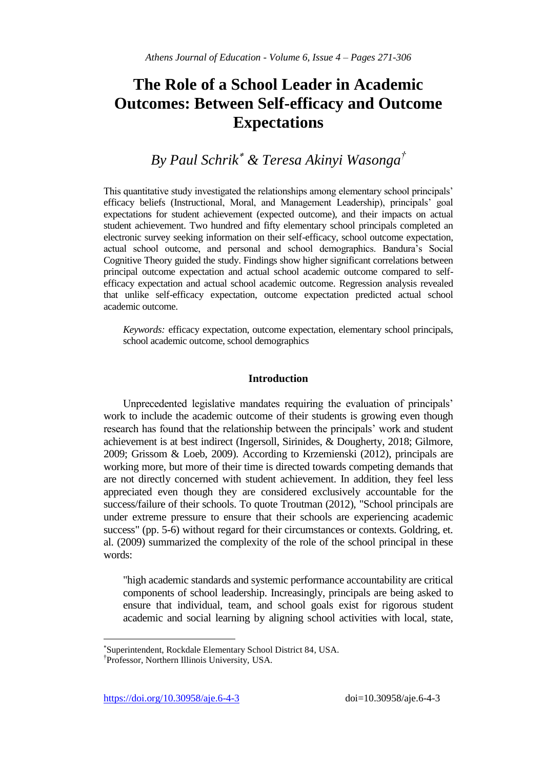# **The Role of a School Leader in Academic Outcomes: Between Self-efficacy and Outcome Expectations**

# *By Paul Schrik & Teresa Akinyi Wasonga†*

This quantitative study investigated the relationships among elementary school principals' efficacy beliefs (Instructional, Moral, and Management Leadership), principals' goal expectations for student achievement (expected outcome), and their impacts on actual student achievement. Two hundred and fifty elementary school principals completed an electronic survey seeking information on their self-efficacy, school outcome expectation, actual school outcome, and personal and school demographics. Bandura's Social Cognitive Theory guided the study. Findings show higher significant correlations between principal outcome expectation and actual school academic outcome compared to selfefficacy expectation and actual school academic outcome. Regression analysis revealed that unlike self-efficacy expectation, outcome expectation predicted actual school academic outcome.

*Keywords:* efficacy expectation, outcome expectation, elementary school principals, school academic outcome, school demographics

# **Introduction**

Unprecedented legislative mandates requiring the evaluation of principals' work to include the academic outcome of their students is growing even though research has found that the relationship between the principals' work and student achievement is at best indirect (Ingersoll, Sirinides, & Dougherty, 2018; Gilmore, 2009; Grissom & Loeb, 2009). According to Krzemienski (2012), principals are working more, but more of their time is directed towards competing demands that are not directly concerned with student achievement. In addition, they feel less appreciated even though they are considered exclusively accountable for the success/failure of their schools. To quote Troutman (2012), "School principals are under extreme pressure to ensure that their schools are experiencing academic success" (pp. 5-6) without regard for their circumstances or contexts. Goldring, et. al. (2009) summarized the complexity of the role of the school principal in these words:

"high academic standards and systemic performance accountability are critical components of school leadership. Increasingly, principals are being asked to ensure that individual, team, and school goals exist for rigorous student academic and social learning by aligning school activities with local, state,

https://doi.org/10.30958/aje.6-4-3 doi=10.30958/aje.6-4-3

 $\overline{a}$ 

Superintendent, Rockdale Elementary School District 84, USA.

<sup>†</sup> Professor, Northern Illinois University, USA.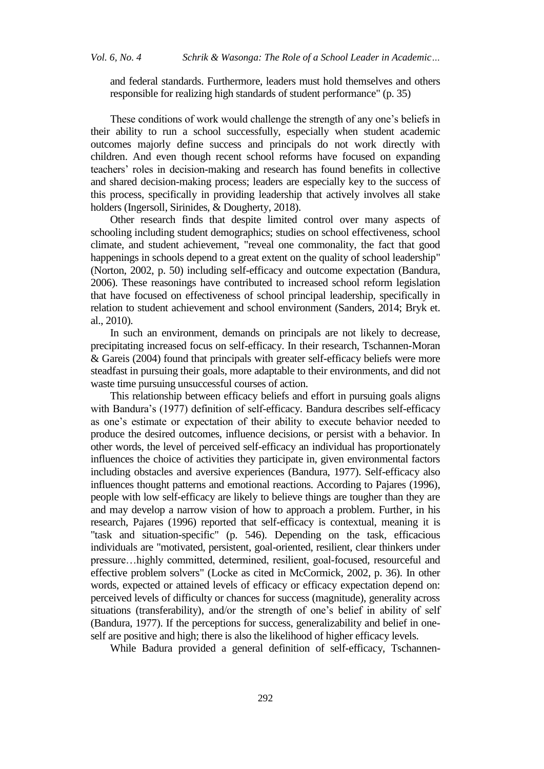and federal standards. Furthermore, leaders must hold themselves and others responsible for realizing high standards of student performance" (p. 35)

These conditions of work would challenge the strength of any one's beliefs in their ability to run a school successfully, especially when student academic outcomes majorly define success and principals do not work directly with children. And even though recent school reforms have focused on expanding teachers' roles in decision-making and research has found benefits in collective and shared decision-making process; leaders are especially key to the success of this process, specifically in providing leadership that actively involves all stake holders (Ingersoll, Sirinides, & Dougherty, 2018).

Other research finds that despite limited control over many aspects of schooling including student demographics; studies on school effectiveness, school climate, and student achievement, "reveal one commonality, the fact that good happenings in schools depend to a great extent on the quality of school leadership" (Norton, 2002, p. 50) including self-efficacy and outcome expectation (Bandura, 2006). These reasonings have contributed to increased school reform legislation that have focused on effectiveness of school principal leadership, specifically in relation to student achievement and school environment (Sanders, 2014; Bryk et. al., 2010).

In such an environment, demands on principals are not likely to decrease, precipitating increased focus on self-efficacy. In their research, Tschannen-Moran & Gareis (2004) found that principals with greater self-efficacy beliefs were more steadfast in pursuing their goals, more adaptable to their environments, and did not waste time pursuing unsuccessful courses of action.

This relationship between efficacy beliefs and effort in pursuing goals aligns with Bandura's (1977) definition of self-efficacy. Bandura describes self-efficacy as one's estimate or expectation of their ability to execute behavior needed to produce the desired outcomes, influence decisions, or persist with a behavior. In other words, the level of perceived self-efficacy an individual has proportionately influences the choice of activities they participate in, given environmental factors including obstacles and aversive experiences (Bandura, 1977). Self-efficacy also influences thought patterns and emotional reactions. According to Pajares (1996), people with low self-efficacy are likely to believe things are tougher than they are and may develop a narrow vision of how to approach a problem. Further, in his research, Pajares (1996) reported that self-efficacy is contextual, meaning it is "task and situation-specific" (p. 546). Depending on the task, efficacious individuals are "motivated, persistent, goal-oriented, resilient, clear thinkers under pressure…highly committed, determined, resilient, goal-focused, resourceful and effective problem solvers" (Locke as cited in McCormick, 2002, p. 36). In other words, expected or attained levels of efficacy or efficacy expectation depend on: perceived levels of difficulty or chances for success (magnitude), generality across situations (transferability), and/or the strength of one's belief in ability of self (Bandura, 1977). If the perceptions for success, generalizability and belief in oneself are positive and high; there is also the likelihood of higher efficacy levels.

While Badura provided a general definition of self-efficacy, Tschannen-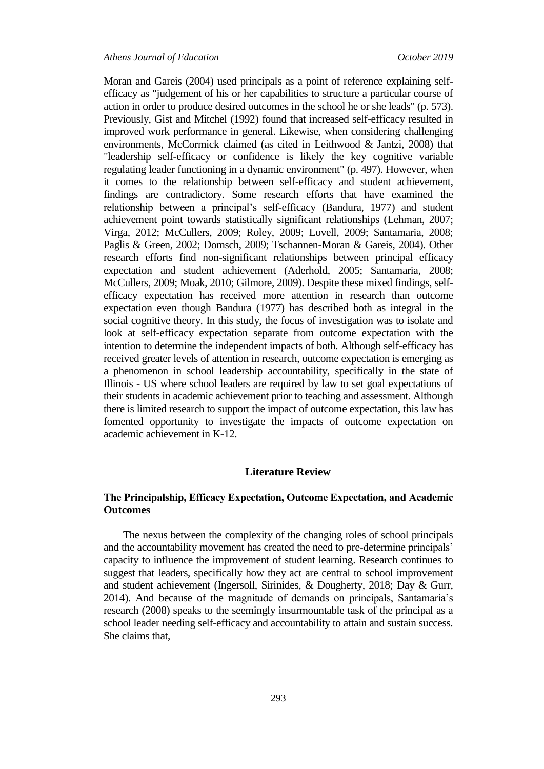Moran and Gareis (2004) used principals as a point of reference explaining selfefficacy as "judgement of his or her capabilities to structure a particular course of action in order to produce desired outcomes in the school he or she leads" (p. 573). Previously, Gist and Mitchel (1992) found that increased self-efficacy resulted in improved work performance in general. Likewise, when considering challenging environments, McCormick claimed (as cited in Leithwood & Jantzi, 2008) that "leadership self-efficacy or confidence is likely the key cognitive variable regulating leader functioning in a dynamic environment" (p. 497). However, when it comes to the relationship between self-efficacy and student achievement, findings are contradictory. Some research efforts that have examined the relationship between a principal's self-efficacy (Bandura, 1977) and student achievement point towards statistically significant relationships (Lehman, 2007; Virga, 2012; McCullers, 2009; Roley, 2009; Lovell, 2009; Santamaria, 2008; Paglis & Green, 2002; Domsch, 2009; Tschannen-Moran & Gareis, 2004). Other research efforts find non-significant relationships between principal efficacy expectation and student achievement (Aderhold, 2005; Santamaria, 2008; McCullers, 2009; Moak, 2010; Gilmore, 2009). Despite these mixed findings, selfefficacy expectation has received more attention in research than outcome expectation even though Bandura (1977) has described both as integral in the social cognitive theory. In this study, the focus of investigation was to isolate and look at self-efficacy expectation separate from outcome expectation with the intention to determine the independent impacts of both. Although self-efficacy has received greater levels of attention in research, outcome expectation is emerging as a phenomenon in school leadership accountability, specifically in the state of Illinois - US where school leaders are required by law to set goal expectations of their students in academic achievement prior to teaching and assessment. Although there is limited research to support the impact of outcome expectation, this law has fomented opportunity to investigate the impacts of outcome expectation on academic achievement in K-12.

### **Literature Review**

# **The Principalship, Efficacy Expectation, Outcome Expectation, and Academic Outcomes**

The nexus between the complexity of the changing roles of school principals and the accountability movement has created the need to pre-determine principals' capacity to influence the improvement of student learning. Research continues to suggest that leaders, specifically how they act are central to school improvement and student achievement (Ingersoll, Sirinides, & Dougherty, 2018; Day & Gurr, 2014). And because of the magnitude of demands on principals, Santamaria's research (2008) speaks to the seemingly insurmountable task of the principal as a school leader needing self-efficacy and accountability to attain and sustain success. She claims that,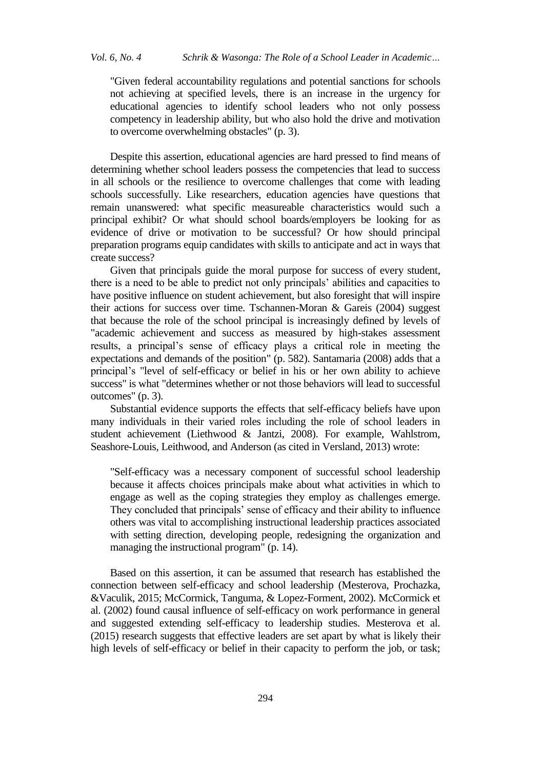"Given federal accountability regulations and potential sanctions for schools not achieving at specified levels, there is an increase in the urgency for educational agencies to identify school leaders who not only possess competency in leadership ability, but who also hold the drive and motivation to overcome overwhelming obstacles" (p. 3).

Despite this assertion, educational agencies are hard pressed to find means of determining whether school leaders possess the competencies that lead to success in all schools or the resilience to overcome challenges that come with leading schools successfully. Like researchers, education agencies have questions that remain unanswered: what specific measureable characteristics would such a principal exhibit? Or what should school boards/employers be looking for as evidence of drive or motivation to be successful? Or how should principal preparation programs equip candidates with skills to anticipate and act in ways that create success?

Given that principals guide the moral purpose for success of every student, there is a need to be able to predict not only principals' abilities and capacities to have positive influence on student achievement, but also foresight that will inspire their actions for success over time. Tschannen-Moran & Gareis (2004) suggest that because the role of the school principal is increasingly defined by levels of "academic achievement and success as measured by high-stakes assessment results, a principal's sense of efficacy plays a critical role in meeting the expectations and demands of the position" (p. 582). Santamaria (2008) adds that a principal's "level of self-efficacy or belief in his or her own ability to achieve success" is what "determines whether or not those behaviors will lead to successful outcomes" (p. 3).

Substantial evidence supports the effects that self-efficacy beliefs have upon many individuals in their varied roles including the role of school leaders in student achievement (Liethwood & Jantzi, 2008). For example, Wahlstrom, Seashore-Louis, Leithwood, and Anderson (as cited in Versland, 2013) wrote:

"Self-efficacy was a necessary component of successful school leadership because it affects choices principals make about what activities in which to engage as well as the coping strategies they employ as challenges emerge. They concluded that principals' sense of efficacy and their ability to influence others was vital to accomplishing instructional leadership practices associated with setting direction, developing people, redesigning the organization and managing the instructional program" (p. 14).

Based on this assertion, it can be assumed that research has established the connection between self-efficacy and school leadership (Mesterova, Prochazka, &Vaculik, 2015; McCormick, Tanguma, & Lopez-Forment, 2002). McCormick et al. (2002) found causal influence of self-efficacy on work performance in general and suggested extending self-efficacy to leadership studies. Mesterova et al. (2015) research suggests that effective leaders are set apart by what is likely their high levels of self-efficacy or belief in their capacity to perform the job, or task;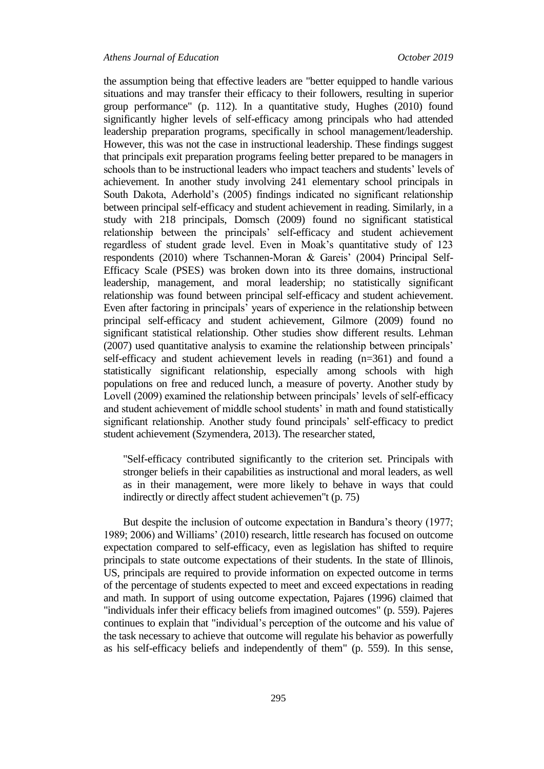the assumption being that effective leaders are "better equipped to handle various situations and may transfer their efficacy to their followers, resulting in superior group performance" (p. 112). In a quantitative study, Hughes (2010) found significantly higher levels of self-efficacy among principals who had attended leadership preparation programs, specifically in school management/leadership. However, this was not the case in instructional leadership. These findings suggest that principals exit preparation programs feeling better prepared to be managers in schools than to be instructional leaders who impact teachers and students' levels of achievement. In another study involving 241 elementary school principals in South Dakota, Aderhold's (2005) findings indicated no significant relationship between principal self-efficacy and student achievement in reading. Similarly, in a study with 218 principals, Domsch (2009) found no significant statistical relationship between the principals' self-efficacy and student achievement regardless of student grade level. Even in Moak's quantitative study of 123 respondents (2010) where Tschannen-Moran & Gareis' (2004) Principal Self-Efficacy Scale (PSES) was broken down into its three domains, instructional leadership, management, and moral leadership; no statistically significant relationship was found between principal self-efficacy and student achievement. Even after factoring in principals' years of experience in the relationship between principal self-efficacy and student achievement, Gilmore (2009) found no significant statistical relationship. Other studies show different results. Lehman (2007) used quantitative analysis to examine the relationship between principals' self-efficacy and student achievement levels in reading (n=361) and found a statistically significant relationship, especially among schools with high populations on free and reduced lunch, a measure of poverty. Another study by Lovell (2009) examined the relationship between principals' levels of self-efficacy and student achievement of middle school students' in math and found statistically significant relationship. Another study found principals' self-efficacy to predict student achievement (Szymendera, 2013). The researcher stated,

"Self-efficacy contributed significantly to the criterion set. Principals with stronger beliefs in their capabilities as instructional and moral leaders, as well as in their management, were more likely to behave in ways that could indirectly or directly affect student achievemen"t (p. 75)

But despite the inclusion of outcome expectation in Bandura's theory (1977; 1989; 2006) and Williams' (2010) research, little research has focused on outcome expectation compared to self-efficacy, even as legislation has shifted to require principals to state outcome expectations of their students. In the state of Illinois, US, principals are required to provide information on expected outcome in terms of the percentage of students expected to meet and exceed expectations in reading and math. In support of using outcome expectation, Pajares (1996) claimed that "individuals infer their efficacy beliefs from imagined outcomes" (p. 559). Pajeres continues to explain that "individual's perception of the outcome and his value of the task necessary to achieve that outcome will regulate his behavior as powerfully as his self-efficacy beliefs and independently of them" (p. 559). In this sense,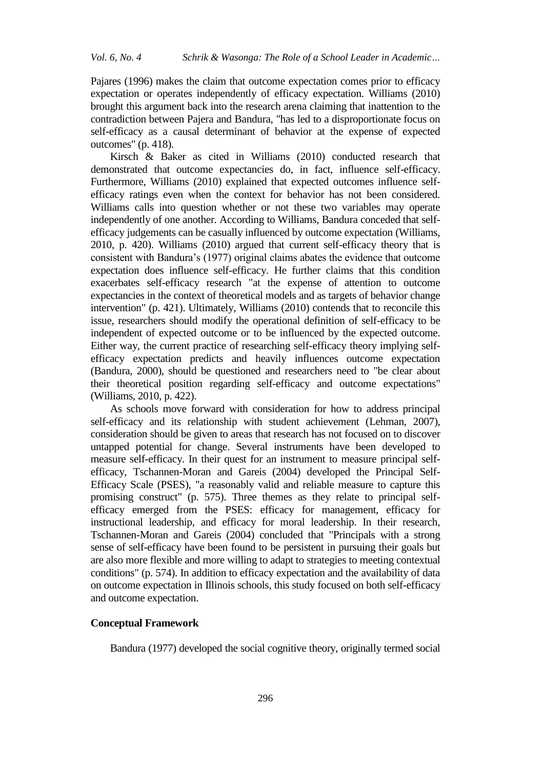Pajares (1996) makes the claim that outcome expectation comes prior to efficacy expectation or operates independently of efficacy expectation. Williams (2010) brought this argument back into the research arena claiming that inattention to the contradiction between Pajera and Bandura, "has led to a disproportionate focus on self-efficacy as a causal determinant of behavior at the expense of expected outcomes" (p. 418).

Kirsch & Baker as cited in Williams (2010) conducted research that demonstrated that outcome expectancies do, in fact, influence self-efficacy. Furthermore, Williams (2010) explained that expected outcomes influence selfefficacy ratings even when the context for behavior has not been considered. Williams calls into question whether or not these two variables may operate independently of one another. According to Williams, Bandura conceded that selfefficacy judgements can be casually influenced by outcome expectation (Williams, 2010, p. 420). Williams (2010) argued that current self-efficacy theory that is consistent with Bandura's (1977) original claims abates the evidence that outcome expectation does influence self-efficacy. He further claims that this condition exacerbates self-efficacy research "at the expense of attention to outcome expectancies in the context of theoretical models and as targets of behavior change intervention" (p. 421). Ultimately, Williams (2010) contends that to reconcile this issue, researchers should modify the operational definition of self-efficacy to be independent of expected outcome or to be influenced by the expected outcome. Either way, the current practice of researching self-efficacy theory implying selfefficacy expectation predicts and heavily influences outcome expectation (Bandura, 2000), should be questioned and researchers need to "be clear about their theoretical position regarding self-efficacy and outcome expectations" (Williams, 2010, p. 422).

As schools move forward with consideration for how to address principal self-efficacy and its relationship with student achievement (Lehman, 2007), consideration should be given to areas that research has not focused on to discover untapped potential for change. Several instruments have been developed to measure self-efficacy. In their quest for an instrument to measure principal selfefficacy, Tschannen-Moran and Gareis (2004) developed the Principal Self-Efficacy Scale (PSES), "a reasonably valid and reliable measure to capture this promising construct" (p. 575). Three themes as they relate to principal selfefficacy emerged from the PSES: efficacy for management, efficacy for instructional leadership, and efficacy for moral leadership. In their research, Tschannen-Moran and Gareis (2004) concluded that "Principals with a strong sense of self-efficacy have been found to be persistent in pursuing their goals but are also more flexible and more willing to adapt to strategies to meeting contextual conditions" (p. 574). In addition to efficacy expectation and the availability of data on outcome expectation in Illinois schools, this study focused on both self-efficacy and outcome expectation.

## **Conceptual Framework**

Bandura (1977) developed the social cognitive theory, originally termed social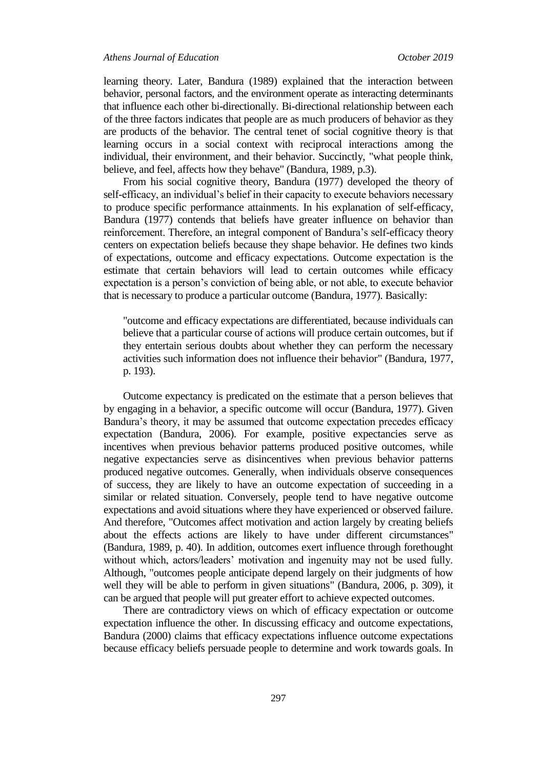learning theory. Later, Bandura (1989) explained that the interaction between behavior, personal factors, and the environment operate as interacting determinants that influence each other bi-directionally. Bi-directional relationship between each of the three factors indicates that people are as much producers of behavior as they are products of the behavior. The central tenet of social cognitive theory is that learning occurs in a social context with reciprocal interactions among the individual, their environment, and their behavior. Succinctly, "what people think, believe, and feel, affects how they behave" (Bandura, 1989, p.3).

From his social cognitive theory, Bandura (1977) developed the theory of self-efficacy, an individual's belief in their capacity to execute behaviors necessary to produce specific performance attainments. In his explanation of self-efficacy, Bandura (1977) contends that beliefs have greater influence on behavior than reinforcement. Therefore, an integral component of Bandura's self-efficacy theory centers on expectation beliefs because they shape behavior. He defines two kinds of expectations, outcome and efficacy expectations. Outcome expectation is the estimate that certain behaviors will lead to certain outcomes while efficacy expectation is a person's conviction of being able, or not able, to execute behavior that is necessary to produce a particular outcome (Bandura, 1977). Basically:

"outcome and efficacy expectations are differentiated, because individuals can believe that a particular course of actions will produce certain outcomes, but if they entertain serious doubts about whether they can perform the necessary activities such information does not influence their behavior" (Bandura, 1977, p. 193).

Outcome expectancy is predicated on the estimate that a person believes that by engaging in a behavior, a specific outcome will occur (Bandura, 1977). Given Bandura's theory, it may be assumed that outcome expectation precedes efficacy expectation (Bandura, 2006). For example, positive expectancies serve as incentives when previous behavior patterns produced positive outcomes, while negative expectancies serve as disincentives when previous behavior patterns produced negative outcomes. Generally, when individuals observe consequences of success, they are likely to have an outcome expectation of succeeding in a similar or related situation. Conversely, people tend to have negative outcome expectations and avoid situations where they have experienced or observed failure. And therefore, "Outcomes affect motivation and action largely by creating beliefs about the effects actions are likely to have under different circumstances" (Bandura, 1989, p. 40). In addition, outcomes exert influence through forethought without which, actors/leaders' motivation and ingenuity may not be used fully. Although, "outcomes people anticipate depend largely on their judgments of how well they will be able to perform in given situations" (Bandura, 2006, p. 309), it can be argued that people will put greater effort to achieve expected outcomes.

There are contradictory views on which of efficacy expectation or outcome expectation influence the other. In discussing efficacy and outcome expectations, Bandura (2000) claims that efficacy expectations influence outcome expectations because efficacy beliefs persuade people to determine and work towards goals. In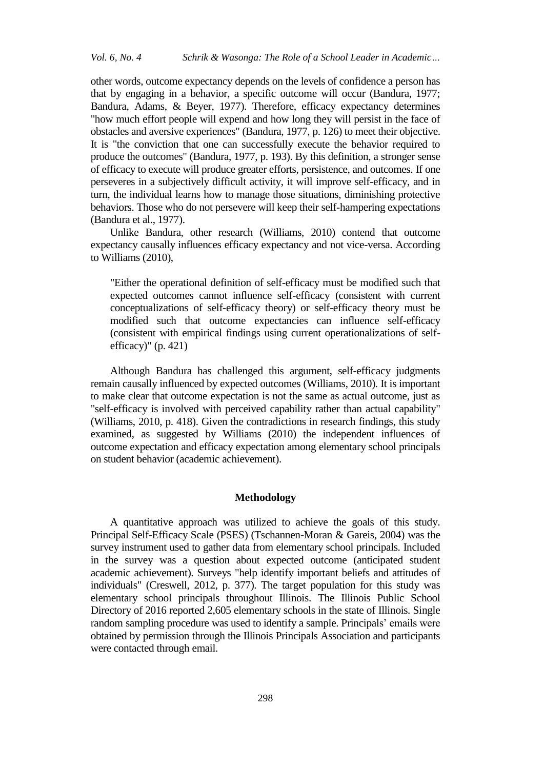other words, outcome expectancy depends on the levels of confidence a person has that by engaging in a behavior, a specific outcome will occur (Bandura, 1977; Bandura, Adams, & Beyer, 1977). Therefore, efficacy expectancy determines "how much effort people will expend and how long they will persist in the face of obstacles and aversive experiences" (Bandura, 1977, p. 126) to meet their objective. It is "the conviction that one can successfully execute the behavior required to produce the outcomes" (Bandura, 1977, p. 193). By this definition, a stronger sense of efficacy to execute will produce greater efforts, persistence, and outcomes. If one perseveres in a subjectively difficult activity, it will improve self-efficacy, and in turn, the individual learns how to manage those situations, diminishing protective behaviors. Those who do not persevere will keep their self-hampering expectations (Bandura et al., 1977).

Unlike Bandura, other research (Williams, 2010) contend that outcome expectancy causally influences efficacy expectancy and not vice-versa. According to Williams (2010),

"Either the operational definition of self-efficacy must be modified such that expected outcomes cannot influence self-efficacy (consistent with current conceptualizations of self-efficacy theory) or self-efficacy theory must be modified such that outcome expectancies can influence self-efficacy (consistent with empirical findings using current operationalizations of selfefficacy)" (p. 421)

Although Bandura has challenged this argument, self-efficacy judgments remain causally influenced by expected outcomes (Williams, 2010). It is important to make clear that outcome expectation is not the same as actual outcome, just as "self-efficacy is involved with perceived capability rather than actual capability" (Williams, 2010, p. 418). Given the contradictions in research findings, this study examined, as suggested by Williams (2010) the independent influences of outcome expectation and efficacy expectation among elementary school principals on student behavior (academic achievement).

### **Methodology**

A quantitative approach was utilized to achieve the goals of this study. Principal Self-Efficacy Scale (PSES) (Tschannen-Moran & Gareis, 2004) was the survey instrument used to gather data from elementary school principals. Included in the survey was a question about expected outcome (anticipated student academic achievement). Surveys "help identify important beliefs and attitudes of individuals" (Creswell, 2012, p. 377). The target population for this study was elementary school principals throughout Illinois. The Illinois Public School Directory of 2016 reported 2,605 elementary schools in the state of Illinois. Single random sampling procedure was used to identify a sample. Principals' emails were obtained by permission through the Illinois Principals Association and participants were contacted through email.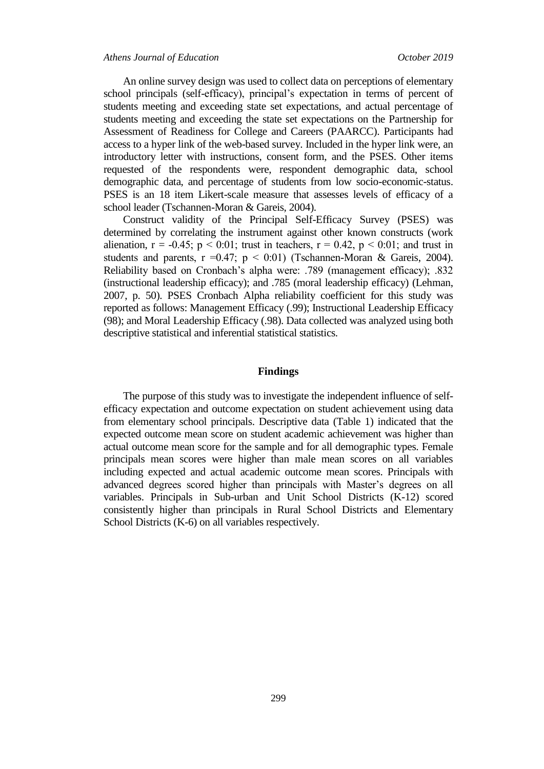An online survey design was used to collect data on perceptions of elementary school principals (self-efficacy), principal's expectation in terms of percent of students meeting and exceeding state set expectations, and actual percentage of students meeting and exceeding the state set expectations on the Partnership for Assessment of Readiness for College and Careers (PAARCC). Participants had access to a hyper link of the web-based survey. Included in the hyper link were, an introductory letter with instructions, consent form, and the PSES. Other items requested of the respondents were, respondent demographic data, school demographic data, and percentage of students from low socio-economic-status. PSES is an 18 item Likert-scale measure that assesses levels of efficacy of a school leader (Tschannen-Moran & Gareis, 2004).

Construct validity of the Principal Self-Efficacy Survey (PSES) was determined by correlating the instrument against other known constructs (work alienation,  $r = -0.45$ ;  $p < 0.01$ ; trust in teachers,  $r = 0.42$ ,  $p < 0.01$ ; and trust in students and parents,  $r = 0.47$ ;  $p < 0.01$ ) (Tschannen-Moran & Gareis, 2004). Reliability based on Cronbach's alpha were: .789 (management efficacy); .832 (instructional leadership efficacy); and .785 (moral leadership efficacy) (Lehman, 2007, p. 50). PSES Cronbach Alpha reliability coefficient for this study was reported as follows: Management Efficacy (.99); Instructional Leadership Efficacy (98); and Moral Leadership Efficacy (.98). Data collected was analyzed using both descriptive statistical and inferential statistical statistics.

#### **Findings**

The purpose of this study was to investigate the independent influence of selfefficacy expectation and outcome expectation on student achievement using data from elementary school principals. Descriptive data (Table 1) indicated that the expected outcome mean score on student academic achievement was higher than actual outcome mean score for the sample and for all demographic types. Female principals mean scores were higher than male mean scores on all variables including expected and actual academic outcome mean scores. Principals with advanced degrees scored higher than principals with Master's degrees on all variables. Principals in Sub-urban and Unit School Districts (K-12) scored consistently higher than principals in Rural School Districts and Elementary School Districts (K-6) on all variables respectively.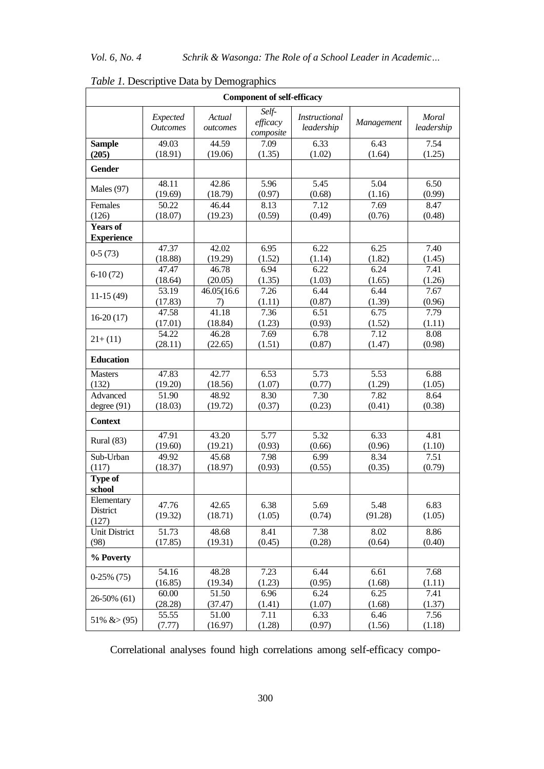|                                      | <b>Component of self-efficacy</b> |                    |                                |                                    |                 |                     |  |  |  |
|--------------------------------------|-----------------------------------|--------------------|--------------------------------|------------------------------------|-----------------|---------------------|--|--|--|
|                                      | Expected<br><b>Outcomes</b>       | Actual<br>outcomes | Self-<br>efficacy<br>composite | <i>Instructional</i><br>leadership | Management      | Moral<br>leadership |  |  |  |
| <b>Sample</b>                        | 49.03                             | $\overline{44.59}$ | 7.09                           | 6.33                               | 6.43            | 7.54                |  |  |  |
| (205)                                | (18.91)                           | (19.06)            | (1.35)                         | (1.02)                             | (1.64)          | (1.25)              |  |  |  |
| <b>Gender</b>                        |                                   |                    |                                |                                    |                 |                     |  |  |  |
| Males (97)                           | 48.11                             | 42.86              | 5.96                           | 5.45                               | 5.04            | 6.50                |  |  |  |
|                                      | (19.69)                           | (18.79)            | (0.97)                         | (0.68)                             | (1.16)          | (0.99)              |  |  |  |
| Females                              | 50.22                             | 46.44              | 8.13                           | 7.12                               | 7.69            | 8.47                |  |  |  |
| (126)                                | (18.07)                           | (19.23)            | (0.59)                         | (0.49)                             | (0.76)          | (0.48)              |  |  |  |
| <b>Years of</b><br><b>Experience</b> |                                   |                    |                                |                                    |                 |                     |  |  |  |
| $0-5(73)$                            | 47.37                             | 42.02              | 6.95                           | 6.22                               | 6.25            | 7.40                |  |  |  |
|                                      | (18.88)                           | (19.29)            | (1.52)                         | (1.14)                             | (1.82)          | (1.45)              |  |  |  |
| $6-10(72)$                           | 47.47                             | 46.78              | 6.94                           | $\overline{6.22}$                  | 6.24            | 7.41                |  |  |  |
|                                      | (18.64)                           | (20.05)            | (1.35)                         | (1.03)                             | (1.65)          | (1.26)              |  |  |  |
| $11-15(49)$                          | 53.19                             | 46.05(16.6         | 7.26                           | 6.44                               | 6.44            | 7.67                |  |  |  |
|                                      | (17.83)                           | 7)                 | (1.11)                         | (0.87)                             | (1.39)          | (0.96)              |  |  |  |
| $16-20(17)$                          | 47.58                             | 41.18              | 7.36                           | 6.51                               | 6.75            | 7.79                |  |  |  |
|                                      | (17.01)                           | (18.84)            | (1.23)                         | (0.93)                             | (1.52)          | (1.11)              |  |  |  |
| $21+(11)$                            | 54.22                             | 46.28              | 7.69                           | 6.78                               | 7.12            | 8.08                |  |  |  |
|                                      | (28.11)                           | (22.65)            | (1.51)                         | (0.87)                             | (1.47)          | (0.98)              |  |  |  |
| <b>Education</b>                     |                                   |                    |                                |                                    |                 |                     |  |  |  |
| <b>Masters</b>                       | 47.83                             | 42.77              | 6.53                           | 5.73                               | 5.53            | 6.88                |  |  |  |
| (132)                                | (19.20)                           | (18.56)            | (1.07)                         | (0.77)                             | (1.29)          | (1.05)              |  |  |  |
| Advanced                             | 51.90                             | 48.92              | 8.30                           | 7.30                               | 7.82            | 8.64                |  |  |  |
| degree(91)                           | (18.03)                           | (19.72)            | (0.37)                         | (0.23)                             | (0.41)          | (0.38)              |  |  |  |
| <b>Context</b>                       |                                   |                    |                                |                                    |                 |                     |  |  |  |
| Rural (83)                           | 47.91                             | 43.20              | 5.77                           | 5.32                               | 6.33            | 4.81                |  |  |  |
|                                      | (19.60)                           | (19.21)            | (0.93)                         | (0.66)                             | (0.96)          | (1.10)              |  |  |  |
| Sub-Urban                            | 49.92                             | 45.68              | 7.98                           | 6.99                               | 8.34            | 7.51                |  |  |  |
| (117)                                | (18.37)                           | (18.97)            | (0.93)                         | (0.55)                             | (0.35)          | (0.79)              |  |  |  |
| Type of<br>school                    |                                   |                    |                                |                                    |                 |                     |  |  |  |
| Elementary<br>District<br>(127)      | 47.76<br>(19.32)                  | 42.65<br>(18.71)   | 6.38<br>(1.05)                 | 5.69<br>(0.74)                     | 5.48<br>(91.28) | 6.83<br>(1.05)      |  |  |  |
| <b>Unit District</b>                 | 51.73                             | 48.68              | 8.41                           | 7.38                               | 8.02            | 8.86                |  |  |  |
| (98)                                 | (17.85)                           | (19.31)            | (0.45)                         | (0.28)                             | (0.64)          | (0.40)              |  |  |  |
| % Poverty                            |                                   |                    |                                |                                    |                 |                     |  |  |  |
| $0-25\%$ (75)                        | 54.16                             | 48.28              | 7.23                           | 6.44                               | 6.61            | 7.68                |  |  |  |
|                                      | (16.85)                           | (19.34)            | (1.23)                         | (0.95)                             | (1.68)          | (1.11)              |  |  |  |
| 26-50% (61)                          | 60.00                             | 51.50              | 6.96                           | 6.24                               | 6.25            | 7.41                |  |  |  |
|                                      | (28.28)                           | (37.47)            | (1.41)                         | (1.07)                             | (1.68)          | (1.37)              |  |  |  |
| 51% & $>$ (95)                       | 55.55                             | 51.00              | 7.11                           | 6.33                               | 6.46            | 7.56                |  |  |  |
|                                      | (7.77)                            | (16.97)            | (1.28)                         | (0.97)                             | (1.56)          | (1.18)              |  |  |  |

*Table 1.* Descriptive Data by Demographics

Correlational analyses found high correlations among self-efficacy compo-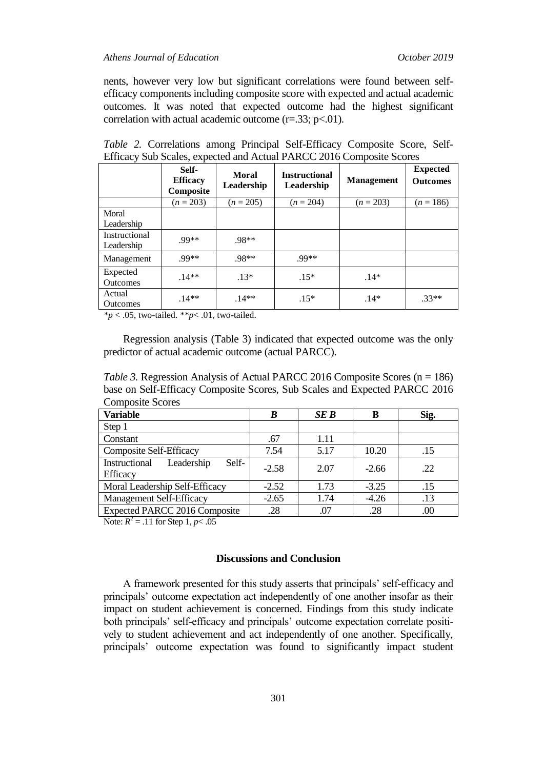nents, however very low but significant correlations were found between selfefficacy components including composite score with expected and actual academic outcomes. It was noted that expected outcome had the highest significant correlation with actual academic outcome  $(r=.33; p<.01)$ .

|                             | Self-<br><b>Efficacy</b><br>Composite | <b>Moral</b><br>Leadership | <b>Instructional</b><br>Leadership | $\mathbf{r}$<br><b>Management</b> | <b>Expected</b><br><b>Outcomes</b> |
|-----------------------------|---------------------------------------|----------------------------|------------------------------------|-----------------------------------|------------------------------------|
|                             | $(n = 203)$                           | $(n = 205)$                | $(n = 204)$                        | $(n = 203)$                       | $(n = 186)$                        |
| Moral                       |                                       |                            |                                    |                                   |                                    |
| Leadership                  |                                       |                            |                                    |                                   |                                    |
| Instructional<br>Leadership | $99**$                                | .98**                      |                                    |                                   |                                    |
| Management                  | .99**                                 | .98**                      | .99**                              |                                   |                                    |
| Expected<br><b>Outcomes</b> | $.14**$                               | $.13*$                     | $.15*$                             | $.14*$                            |                                    |
| Actual<br><b>Outcomes</b>   | $.14**$                               | $.14**$                    | $.15*$                             | $.14*$                            | $.33**$                            |

*Table 2.* Correlations among Principal Self-Efficacy Composite Score, Self-Efficacy Sub Scales, expected and Actual PARCC 2016 Composite Scores

*\*p* < .05, two-tailed. \*\**p*< .01, two-tailed.

Regression analysis (Table 3) indicated that expected outcome was the only predictor of actual academic outcome (actual PARCC).

*Table 3.* Regression Analysis of Actual PARCC 2016 Composite Scores (n = 186) base on Self-Efficacy Composite Scores, Sub Scales and Expected PARCC 2016 Composite Scores

| <b>Variable</b>                                  | B       | SE B | в       | Sig. |
|--------------------------------------------------|---------|------|---------|------|
| Step 1                                           |         |      |         |      |
| Constant                                         | .67     | 1.11 |         |      |
| <b>Composite Self-Efficacy</b>                   | 7.54    | 5.17 | 10.20   | .15  |
| Leadership<br>Instructional<br>Self-<br>Efficacy | $-2.58$ | 2.07 | $-2.66$ | .22  |
| Moral Leadership Self-Efficacy                   | $-2.52$ | 1.73 | $-3.25$ | .15  |
| Management Self-Efficacy                         | $-2.65$ | 1.74 | $-4.26$ | .13  |
| <b>Expected PARCC 2016 Composite</b>             | .28     | .07  | .28     | .00  |

Note:  $R^2 = .11$  for Step 1,  $p < .05$ 

### **Discussions and Conclusion**

A framework presented for this study asserts that principals' self-efficacy and principals' outcome expectation act independently of one another insofar as their impact on student achievement is concerned. Findings from this study indicate both principals' self-efficacy and principals' outcome expectation correlate positively to student achievement and act independently of one another. Specifically, principals' outcome expectation was found to significantly impact student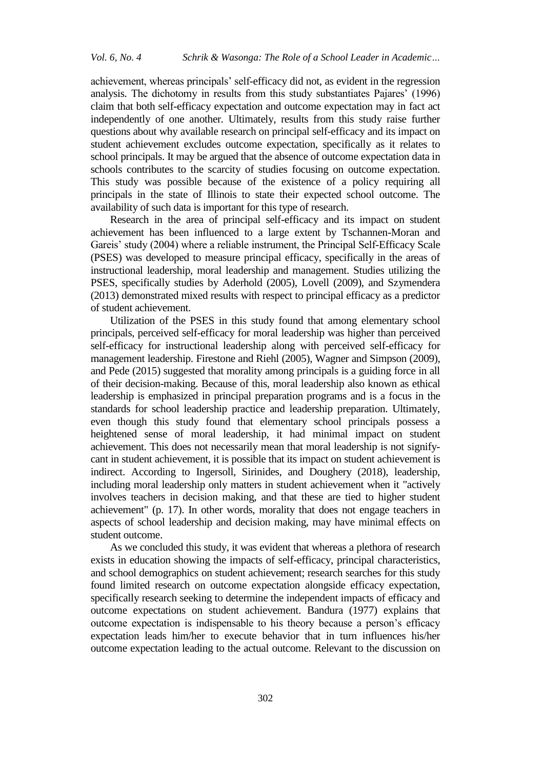achievement, whereas principals' self-efficacy did not, as evident in the regression analysis. The dichotomy in results from this study substantiates Pajares' (1996) claim that both self-efficacy expectation and outcome expectation may in fact act independently of one another. Ultimately, results from this study raise further questions about why available research on principal self-efficacy and its impact on student achievement excludes outcome expectation, specifically as it relates to school principals. It may be argued that the absence of outcome expectation data in schools contributes to the scarcity of studies focusing on outcome expectation. This study was possible because of the existence of a policy requiring all principals in the state of Illinois to state their expected school outcome. The availability of such data is important for this type of research.

Research in the area of principal self-efficacy and its impact on student achievement has been influenced to a large extent by Tschannen-Moran and Gareis' study (2004) where a reliable instrument, the Principal Self-Efficacy Scale (PSES) was developed to measure principal efficacy, specifically in the areas of instructional leadership, moral leadership and management. Studies utilizing the PSES, specifically studies by Aderhold (2005), Lovell (2009), and Szymendera (2013) demonstrated mixed results with respect to principal efficacy as a predictor of student achievement.

Utilization of the PSES in this study found that among elementary school principals, perceived self-efficacy for moral leadership was higher than perceived self-efficacy for instructional leadership along with perceived self-efficacy for management leadership. Firestone and Riehl (2005), Wagner and Simpson (2009), and Pede (2015) suggested that morality among principals is a guiding force in all of their decision-making. Because of this, moral leadership also known as ethical leadership is emphasized in principal preparation programs and is a focus in the standards for school leadership practice and leadership preparation. Ultimately, even though this study found that elementary school principals possess a heightened sense of moral leadership, it had minimal impact on student achievement. This does not necessarily mean that moral leadership is not signifycant in student achievement, it is possible that its impact on student achievement is indirect. According to Ingersoll, Sirinides, and Doughery (2018), leadership, including moral leadership only matters in student achievement when it "actively involves teachers in decision making, and that these are tied to higher student achievement" (p. 17). In other words, morality that does not engage teachers in aspects of school leadership and decision making, may have minimal effects on student outcome.

As we concluded this study, it was evident that whereas a plethora of research exists in education showing the impacts of self-efficacy, principal characteristics, and school demographics on student achievement; research searches for this study found limited research on outcome expectation alongside efficacy expectation, specifically research seeking to determine the independent impacts of efficacy and outcome expectations on student achievement. Bandura (1977) explains that outcome expectation is indispensable to his theory because a person's efficacy expectation leads him/her to execute behavior that in turn influences his/her outcome expectation leading to the actual outcome. Relevant to the discussion on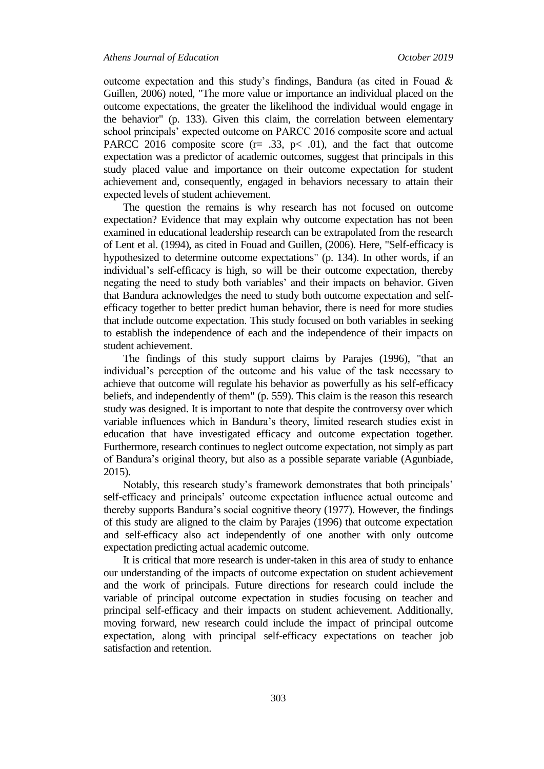outcome expectation and this study's findings, Bandura (as cited in Fouad & Guillen, 2006) noted, "The more value or importance an individual placed on the outcome expectations, the greater the likelihood the individual would engage in the behavior" (p. 133). Given this claim, the correlation between elementary school principals' expected outcome on PARCC 2016 composite score and actual PARCC 2016 composite score ( $r = .33$ ,  $p < .01$ ), and the fact that outcome expectation was a predictor of academic outcomes, suggest that principals in this study placed value and importance on their outcome expectation for student achievement and, consequently, engaged in behaviors necessary to attain their expected levels of student achievement.

The question the remains is why research has not focused on outcome expectation? Evidence that may explain why outcome expectation has not been examined in educational leadership research can be extrapolated from the research of Lent et al. (1994), as cited in Fouad and Guillen, (2006). Here, "Self-efficacy is hypothesized to determine outcome expectations" (p. 134). In other words, if an individual's self-efficacy is high, so will be their outcome expectation, thereby negating the need to study both variables' and their impacts on behavior. Given that Bandura acknowledges the need to study both outcome expectation and selfefficacy together to better predict human behavior, there is need for more studies that include outcome expectation. This study focused on both variables in seeking to establish the independence of each and the independence of their impacts on student achievement.

The findings of this study support claims by Parajes (1996), "that an individual's perception of the outcome and his value of the task necessary to achieve that outcome will regulate his behavior as powerfully as his self-efficacy beliefs, and independently of them" (p. 559). This claim is the reason this research study was designed. It is important to note that despite the controversy over which variable influences which in Bandura's theory, limited research studies exist in education that have investigated efficacy and outcome expectation together. Furthermore, research continues to neglect outcome expectation, not simply as part of Bandura's original theory, but also as a possible separate variable (Agunbiade, 2015).

Notably, this research study's framework demonstrates that both principals' self-efficacy and principals' outcome expectation influence actual outcome and thereby supports Bandura's social cognitive theory (1977). However, the findings of this study are aligned to the claim by Parajes (1996) that outcome expectation and self-efficacy also act independently of one another with only outcome expectation predicting actual academic outcome.

It is critical that more research is under-taken in this area of study to enhance our understanding of the impacts of outcome expectation on student achievement and the work of principals. Future directions for research could include the variable of principal outcome expectation in studies focusing on teacher and principal self-efficacy and their impacts on student achievement. Additionally, moving forward, new research could include the impact of principal outcome expectation, along with principal self-efficacy expectations on teacher job satisfaction and retention.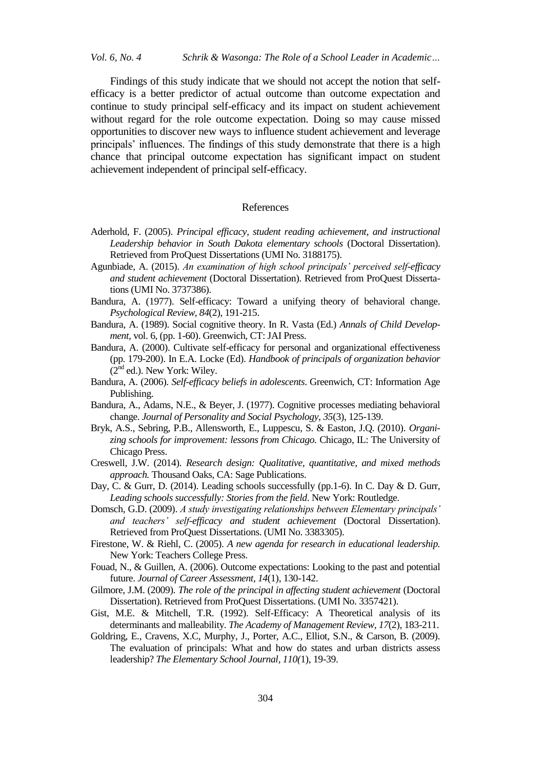*Vol. 6, No. 4 Schrik & Wasonga: The Role of a School Leader in Academic…*

Findings of this study indicate that we should not accept the notion that selfefficacy is a better predictor of actual outcome than outcome expectation and continue to study principal self-efficacy and its impact on student achievement without regard for the role outcome expectation. Doing so may cause missed opportunities to discover new ways to influence student achievement and leverage principals' influences. The findings of this study demonstrate that there is a high chance that principal outcome expectation has significant impact on student achievement independent of principal self-efficacy.

#### References

- Aderhold, F. (2005). *Principal efficacy, student reading achievement, and instructional Leadership behavior in South Dakota elementary schools* (Doctoral Dissertation). Retrieved from ProQuest Dissertations (UMI No. 3188175).
- Agunbiade, A. (2015). *An examination of high school principals' perceived self-efficacy and student achievement* (Doctoral Dissertation). Retrieved from ProQuest Dissertations (UMI No. 3737386).
- Bandura, A. (1977). Self-efficacy: Toward a unifying theory of behavioral change. *Psychological Review, 84*(2), 191-215.
- Bandura, A. (1989). Social cognitive theory. In R. Vasta (Ed.) *Annals of Child Development,* vol. 6, (pp. 1-60). Greenwich, CT: JAI Press.
- Bandura, A. (2000). Cultivate self-efficacy for personal and organizational effectiveness (pp. 179-200). In E.A. Locke (Ed). *Handbook of principals of organization behavior*  $(2<sup>nd</sup>$ ed.). New York: Wiley.
- Bandura, A. (2006). *Self-efficacy beliefs in adolescents*. Greenwich, CT: Information Age Publishing.
- Bandura, A., Adams, N.E., & Beyer, J. (1977). Cognitive processes mediating behavioral change. *Journal of Personality and Social Psychology, 35*(3), 125-139.
- Bryk, A.S., Sebring, P.B., Allensworth, E., Luppescu, S. & Easton, J.Q. (2010). *Organizing schools for improvement: lessons from Chicago.* Chicago, IL: The University of Chicago Press.
- Creswell, J.W. (2014). *Research design: Qualitative, quantitative, and mixed methods approach.* Thousand Oaks, CA: Sage Publications.
- Day, C. & Gurr, D. (2014). Leading schools successfully (pp.1-6). In C. Day & D. Gurr, *Leading schools successfully: Stories from the field*. New York: Routledge.
- Domsch, G.D. (2009). *A study investigating relationships between Elementary principals' and teachers' self-efficacy and student achievement* (Doctoral Dissertation). Retrieved from ProQuest Dissertations. (UMI No. 3383305).
- Firestone, W. & Riehl, C. (2005). *A new agenda for research in educational leadership.* New York: Teachers College Press.
- Fouad, N., & Guillen, A. (2006). Outcome expectations: Looking to the past and potential future. *Journal of Career Assessment, 14*(1), 130-142.
- Gilmore, J.M. (2009). *The role of the principal in affecting student achievement* (Doctoral Dissertation). Retrieved from ProQuest Dissertations. (UMI No. 3357421).
- Gist, M.E. & Mitchell, T.R. (1992). Self-Efficacy: A Theoretical analysis of its determinants and malleability. *The Academy of Management Review, 17*(2), 183-211.
- Goldring, E., Cravens, X.C, Murphy, J., Porter, A.C., Elliot, S.N., & Carson, B. (2009). The evaluation of principals: What and how do states and urban districts assess leadership? *The Elementary School Journal, 110(*1), 19-39.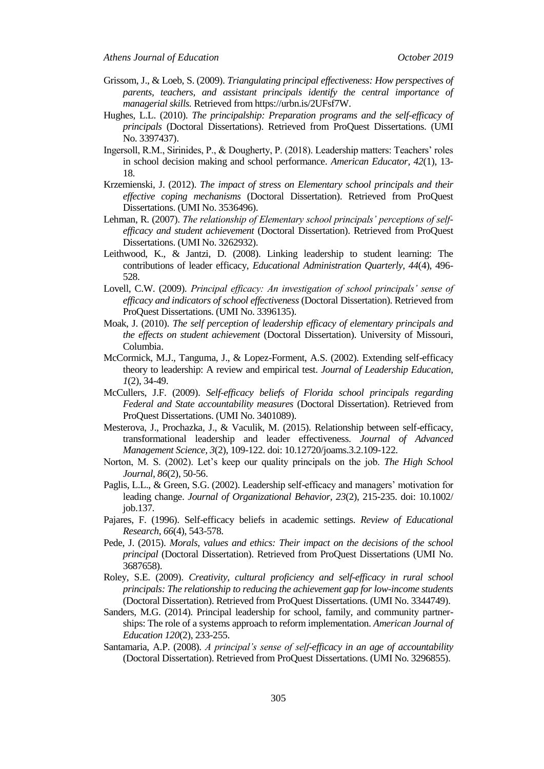- Grissom, J., & Loeb, S. (2009). *Triangulating principal effectiveness: How perspectives of parents, teachers, and assistant principals identify the central importance of managerial skills.* Retrieved from https://urbn.is/2UFsf7W.
- Hughes, L.L. (2010). *The principalship: Preparation programs and the self-efficacy of principals* (Doctoral Dissertations). Retrieved from ProQuest Dissertations. (UMI No. 3397437).
- Ingersoll, R.M., Sirinides, P., & Dougherty, P. (2018). Leadership matters: Teachers' roles in school decision making and school performance. *American Educator, 42*(1), 13- 18.
- Krzemienski, J. (2012). *The impact of stress on Elementary school principals and their effective coping mechanisms* (Doctoral Dissertation). Retrieved from ProQuest Dissertations. (UMI No. 3536496).
- Lehman, R. (2007). *The relationship of Elementary school principals' perceptions of selfefficacy and student achievement* (Doctoral Dissertation). Retrieved from ProQuest Dissertations. (UMI No. 3262932).
- Leithwood, K., & Jantzi, D. (2008). Linking leadership to student learning: The contributions of leader efficacy, *Educational Administration Quarterly, 44*(4), 496- 528.
- Lovell, C.W. (2009). *Principal efficacy: An investigation of school principals' sense of efficacy and indicators of school effectiveness* (Doctoral Dissertation). Retrieved from ProQuest Dissertations. (UMI No. 3396135).
- Moak, J. (2010). *The self perception of leadership efficacy of elementary principals and the effects on student achievement* (Doctoral Dissertation). University of Missouri, Columbia.
- McCormick, M.J., Tanguma, J., & Lopez-Forment, A.S. (2002). Extending self-efficacy theory to leadership: A review and empirical test. *Journal of Leadership Education, 1*(2), 34-49.
- McCullers, J.F. (2009). *Self-efficacy beliefs of Florida school principals regarding Federal and State accountability measures* (Doctoral Dissertation). Retrieved from ProQuest Dissertations. (UMI No. 3401089).
- Mesterova, J., Prochazka, J., & Vaculik, M. (2015). Relationship between self-efficacy, transformational leadership and leader effectiveness. *Journal of Advanced Management Science, 3*(2), 109-122. doi: 10.12720/joams.3.2.109-122.
- Norton, M. S. (2002). Let's keep our quality principals on the job. *The High School Journal, 86*(2), 50-56.
- Paglis, L.L., & Green, S.G. (2002). Leadership self-efficacy and managers' motivation for leading change. *Journal of Organizational Behavior, 23*(2), 215-235. doi: 10.1002/ job.137.
- Pajares, F. (1996). Self-efficacy beliefs in academic settings. *Review of Educational Research*, *66*(4), 543-578.
- Pede, J. (2015). *Morals, values and ethics: Their impact on the decisions of the school principal* (Doctoral Dissertation). Retrieved from ProQuest Dissertations (UMI No. 3687658).
- Roley, S.E. (2009). *Creativity, cultural proficiency and self-efficacy in rural school principals: The relationship to reducing the achievement gap for low-income students* (Doctoral Dissertation). Retrieved from ProQuest Dissertations. (UMI No. 3344749).
- Sanders, M.G. (2014). Principal leadership for school, family, and community partnerships: The role of a systems approach to reform implementation. *American Journal of Education 120*(2), 233-255.
- Santamaria, A.P. (2008). *A principal's sense of self-efficacy in an age of accountability* (Doctoral Dissertation). Retrieved from ProQuest Dissertations. (UMI No. 3296855).